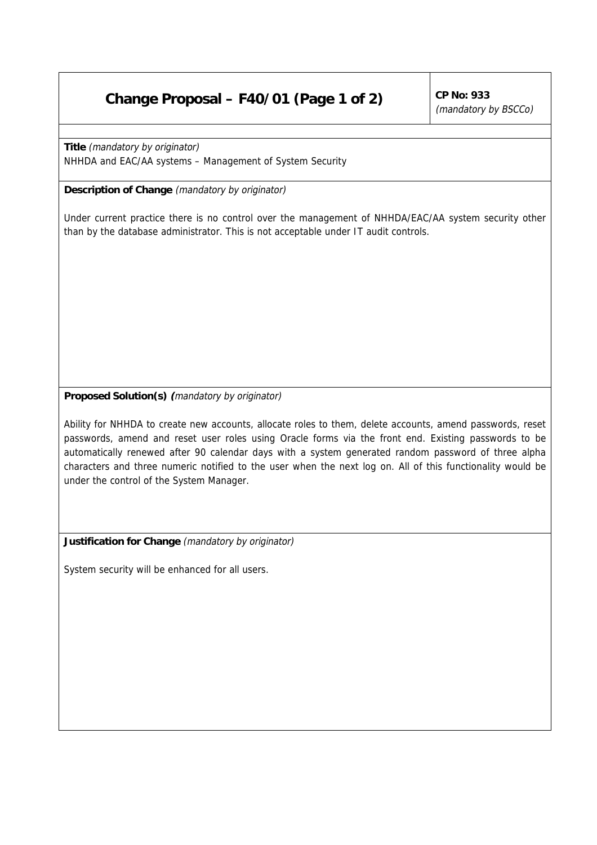## **Change Proposal – F40/01 (Page 1 of 2)** CP No: 933

(mandatory by BSCCo)

**Title** (mandatory by originator) NHHDA and EAC/AA systems – Management of System Security

**Description of Change** (mandatory by originator)

Under current practice there is no control over the management of NHHDA/EAC/AA system security other than by the database administrator. This is not acceptable under IT audit controls.

## **Proposed Solution(s) (**mandatory by originator)

Ability for NHHDA to create new accounts, allocate roles to them, delete accounts, amend passwords, reset passwords, amend and reset user roles using Oracle forms via the front end. Existing passwords to be automatically renewed after 90 calendar days with a system generated random password of three alpha characters and three numeric notified to the user when the next log on. All of this functionality would be under the control of the System Manager.

**Justification for Change** (mandatory by originator)

System security will be enhanced for all users.